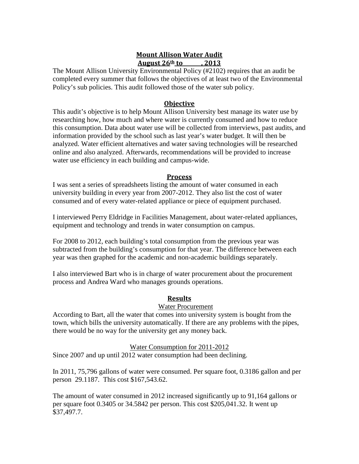# **Mount Allison Water Audit August 26th to , 2013**

The Mount Allison University Environmental Policy (#2102) requires that an audit be completed every summer that follows the objectives of at least two of the Environmental Policy's sub policies. This audit followed those of the water sub policy.

### **Objective**

This audit's objective is to help Mount Allison University best manage its water use by researching how, how much and where water is currently consumed and how to reduce this consumption. Data about water use will be collected from interviews, past audits, and information provided by the school such as last year's water budget. It will then be analyzed. Water efficient alternatives and water saving technologies will be researched online and also analyzed. Afterwards, recommendations will be provided to increase water use efficiency in each building and campus-wide.

### **Process**

I was sent a series of spreadsheets listing the amount of water consumed in each university building in every year from 2007-2012. They also list the cost of water consumed and of every water-related appliance or piece of equipment purchased.

I interviewed Perry Eldridge in Facilities Management, about water-related appliances, equipment and technology and trends in water consumption on campus.

For 2008 to 2012, each building's total consumption from the previous year was subtracted from the building's consumption for that year. The difference between each year was then graphed for the academic and non-academic buildings separately.

I also interviewed Bart who is in charge of water procurement about the procurement process and Andrea Ward who manages grounds operations.

### **Results**

### Water Procurement

According to Bart, all the water that comes into university system is bought from the town, which bills the university automatically. If there are any problems with the pipes, there would be no way for the university get any money back.

### Water Consumption for 2011-2012

Since 2007 and up until 2012 water consumption had been declining.

In 2011, 75,796 gallons of water were consumed. Per square foot, 0.3186 gallon and per person 29.1187. This cost \$167,543.62.

The amount of water consumed in 2012 increased significantly up to 91,164 gallons or per square foot 0.3405 or 34.5842 per person. This cost \$205,041.32. It went up \$37,497.7.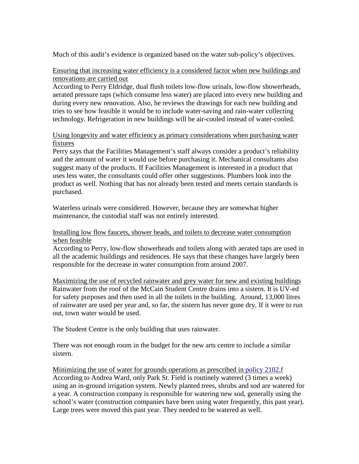Much of this audit's evidence is organized based on the water sub-policy's objectives.

### Ensuring that increasing water efficiency is a considered factor when new buildings and renovations are carried out

According to Perry Eldridge, dual flush toilets low-flow urinals, low-flow showerheads, aerated pressure taps (which consume less water) are placed into every new building and during every new renovation. Also, he reviews the drawings for each new building and tries to see how feasible it would be to include water-saving and rain-water collecting technology. Refrigeration in new buildings will be air-cooled instead of water-cooled.

### Using longevity and water efficiency as primary considerations when purchasing water fixtures

Perry says that the Facilities Management's staff always consider a product's reliability and the amount of water it would use before purchasing it. Mechanical consultants also suggest many of the products. If Facilities Management is interested in a product that uses less water, the consultants could offer other suggestions. Plumbers look into the product as well. Nothing that has not already been tested and meets certain standards is purchased.

Waterless urinals were considered. However, because they are somewhat higher maintenance, the custodial staff was not entirely interested.

### Installing low flow faucets, shower heads, and toilets to decrease water consumption when feasible

According to Perry, low-flow showerheads and toilets along with aerated taps are used in all the academic buildings and residences. He says that these changes have largely been responsible for the decrease in water consumption from around 2007.

Maximizing the use of recycled rainwater and grey water for new and existing buildings Rainwater from the roof of the McCain Student Centre drains into a sistern. It is UV-ed for safety purposes and then used in all the toilets in the building. Around, 13,000 litres of rainwater are used per year and, so far, the sistern has never gone dry. If it were to run out, town water would be used.

The Student Centre is the only building that uses rainwater.

There was not enough room in the budget for the new arts centre to include a similar sistern.

Minimizing the use of water for grounds operations as prescribed in [policy 2102.f](http://www.mta.ca/administration/vp/policies/2102f.htm) According to Andrea Ward, only Park St. Field is routinely watered (3 times a week) using an in-ground irrigation system. Newly planted trees, shrubs and sod are watered for a year. A construction company is responsible for watering new sod, generally using the school's water (construction companies have been using water frequently, this past year). Large trees were moved this past year. They needed to be watered as well.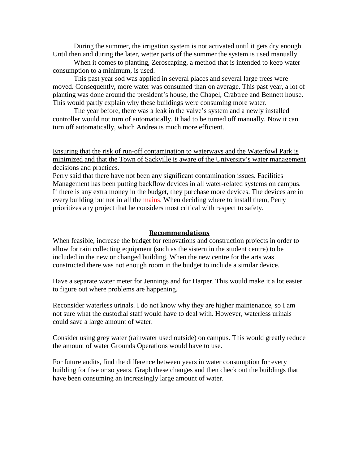During the summer, the irrigation system is not activated until it gets dry enough. Until then and during the later, wetter parts of the summer the system is used manually.

When it comes to planting, Zeroscaping, a method that is intended to keep water consumption to a minimum, is used.

This past year sod was applied in several places and several large trees were moved. Consequently, more water was consumed than on average. This past year, a lot of planting was done around the president's house, the Chapel, Crabtree and Bennett house. This would partly explain why these buildings were consuming more water.

The year before, there was a leak in the valve's system and a newly installed controller would not turn of automatically. It had to be turned off manually. Now it can turn off automatically, which Andrea is much more efficient.

Ensuring that the risk of run-off contamination to waterways and the Waterfowl Park is minimized and that the Town of Sackville is aware of the University's water management decisions and practices.

Perry said that there have not been any significant contamination issues. Facilities Management has been putting backflow devices in all water-related systems on campus. If there is any extra money in the budget, they purchase more devices. The devices are in every building but not in all the mains. When deciding where to install them, Perry prioritizes any project that he considers most critical with respect to safety.

#### **Recommendations**

When feasible, increase the budget for renovations and construction projects in order to allow for rain collecting equipment (such as the sistern in the student centre) to be included in the new or changed building. When the new centre for the arts was constructed there was not enough room in the budget to include a similar device.

Have a separate water meter for Jennings and for Harper. This would make it a lot easier to figure out where problems are happening.

Reconsider waterless urinals. I do not know why they are higher maintenance, so I am not sure what the custodial staff would have to deal with. However, waterless urinals could save a large amount of water.

Consider using grey water (rainwater used outside) on campus. This would greatly reduce the amount of water Grounds Operations would have to use.

For future audits, find the difference between years in water consumption for every building for five or so years. Graph these changes and then check out the buildings that have been consuming an increasingly large amount of water.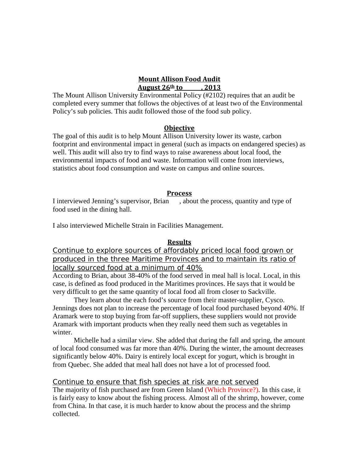#### **Mount Allison Food Audit August 26th to , 2013**

The Mount Allison University Environmental Policy (#2102) requires that an audit be completed every summer that follows the objectives of at least two of the Environmental Policy's sub policies. This audit followed those of the food sub policy.

### **Objective**

The goal of this audit is to help Mount Allison University lower its waste, carbon footprint and environmental impact in general (such as impacts on endangered species) as well. This audit will also try to find ways to raise awareness about local food, the environmental impacts of food and waste. Information will come from interviews, statistics about food consumption and waste on campus and online sources.

### **Process**

I interviewed Jenning's supervisor, Brian , about the process, quantity and type of food used in the dining hall.

I also interviewed Michelle Strain in Facilities Management.

### **Results**

Continue to explore sources of affordably priced local food grown or produced in the three Maritime Provinces and to maintain its ratio of locally sourced food at a minimum of 40%

According to Brian, about 38-40% of the food served in meal hall is local. Local, in this case, is defined as food produced in the Maritimes provinces. He says that it would be very difficult to get the same quantity of local food all from closer to Sackville.

They learn about the each food's source from their master-supplier, Cysco. Jennings does not plan to increase the percentage of local food purchased beyond 40%. If Aramark were to stop buying from far-off suppliers, these suppliers would not provide Aramark with important products when they really need them such as vegetables in winter.

Michelle had a similar view. She added that during the fall and spring, the amount of local food consumed was far more than 40%. During the winter, the amount decreases significantly below 40%. Dairy is entirely local except for yogurt, which is brought in from Quebec. She added that meal hall does not have a lot of processed food.

### Continue to ensure that fish species at risk are not served

The majority of fish purchased are from Green Island (Which Province?). In this case, it is fairly easy to know about the fishing process. Almost all of the shrimp, however, come from China. In that case, it is much harder to know about the process and the shrimp collected.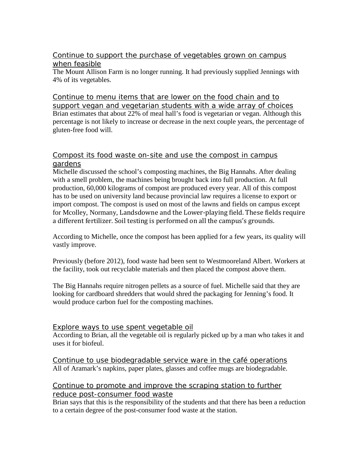## Continue to support the purchase of vegetables grown on campus when feasible

The Mount Allison Farm is no longer running. It had previously supplied Jennings with 4% of its vegetables.

Continue to menu items that are lower on the food chain and to support vegan and vegetarian students with a wide array of choices Brian estimates that about 22% of meal hall's food is vegetarian or vegan. Although this percentage is not likely to increase or decrease in the next couple years, the percentage of gluten-free food will.

## Compost its food waste on-site and use the compost in campus gardens

Michelle discussed the school's composting machines, the Big Hannahs. After dealing with a smell problem, the machines being brought back into full production. At full production, 60,000 kilograms of compost are produced every year. All of this compost has to be used on university land because provincial law requires a license to export or import compost. The compost is used on most of the lawns and fields on campus except for Mcolley, Normany, Landsdowne and the Lower-playing field. These fields require a different fertilizer. Soil testing is performed on all the campus's grounds.

According to Michelle, once the compost has been applied for a few years, its quality will vastly improve.

Previously (before 2012), food waste had been sent to Westmooreland Albert. Workers at the facility, took out recyclable materials and then placed the compost above them.

The Big Hannahs require nitrogen pellets as a source of fuel. Michelle said that they are looking for cardboard shredders that would shred the packaging for Jenning's food. It would produce carbon fuel for the composting machines.

### Explore ways to use spent vegetable oil

According to Brian, all the vegetable oil is regularly picked up by a man who takes it and uses it for biofeul.

Continue to use biodegradable service ware in the café operations All of Aramark's napkins, paper plates, glasses and coffee mugs are biodegradable.

# Continue to promote and improve the scraping station to further reduce post-consumer food waste

Brian says that this is the responsibility of the students and that there has been a reduction to a certain degree of the post-consumer food waste at the station.